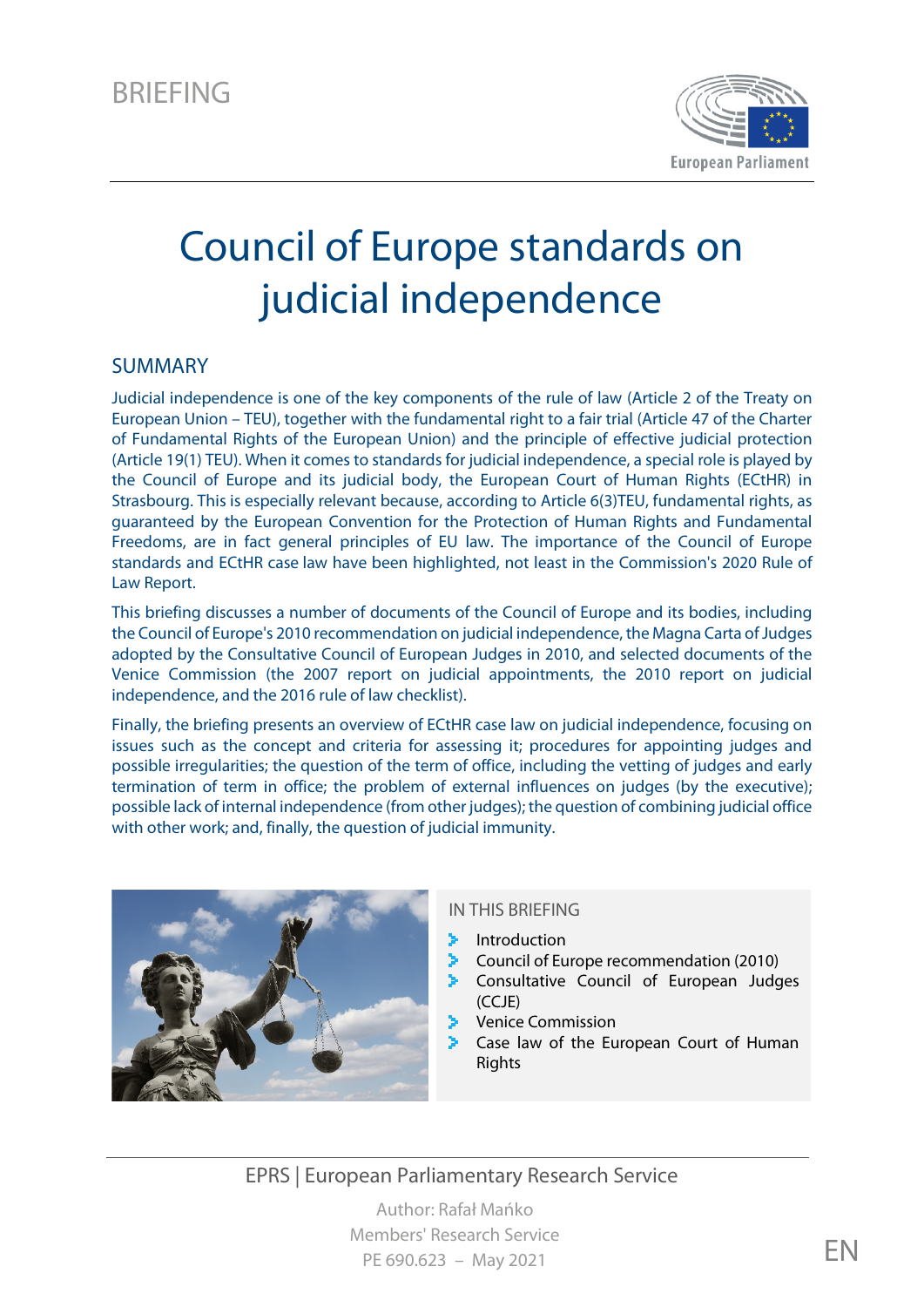

# Council of Europe standards on judicial independence

#### SUMMARY

Judicial independence is one of the key components of the rule of law (Article 2 of the Treaty on European Union – TEU), together with the fundamental right to a fair trial (Article 47 of the Charter of Fundamental Rights of the European Union) and the principle of effective judicial protection (Article 19(1) TEU). When it comes to standards for judicial independence, a special role is played by the Council of Europe and its judicial body, the European Court of Human Rights (ECtHR) in Strasbourg. This is especially relevant because, according to Article 6(3)TEU, fundamental rights, as guaranteed by the European Convention for the Protection of Human Rights and Fundamental Freedoms, are in fact general principles of EU law. The importance of the Council of Europe standards and ECtHR case law have been highlighted, not least in the Commission's 2020 Rule of Law Report.

This briefing discusses a number of documents of the Council of Europe and its bodies, including the Council of Europe's 2010 recommendation on judicial independence, the Magna Carta of Judges adopted by the Consultative Council of European Judges in 2010, and selected documents of the Venice Commission (the 2007 report on judicial appointments, the 2010 report on judicial independence, and the 2016 rule of law checklist).

Finally, the briefing presents an overview of ECtHR case law on judicial independence, focusing on issues such as the concept and criteria for assessing it; procedures for appointing judges and possible irregularities; the question of the term of office, including the vetting of judges and early termination of term in office; the problem of external influences on judges (by the executive); possible lack of internal independence (from other judges); the question of combining judicial office with other work; and, finally, the question of judicial immunity.



#### IN THIS BRIEFING

- ž. Introduction
- ×. Council of Europe recommendation (2010)
- Consultative Council of European Judges  $(CC|F)$
- Venice Commission
- Case law of the European Court of Human Rights

EPRS | European Parliamentary Research Service

Author: Rafał Mańko Members' Research Service PE 690.623 – May 2021  $EN$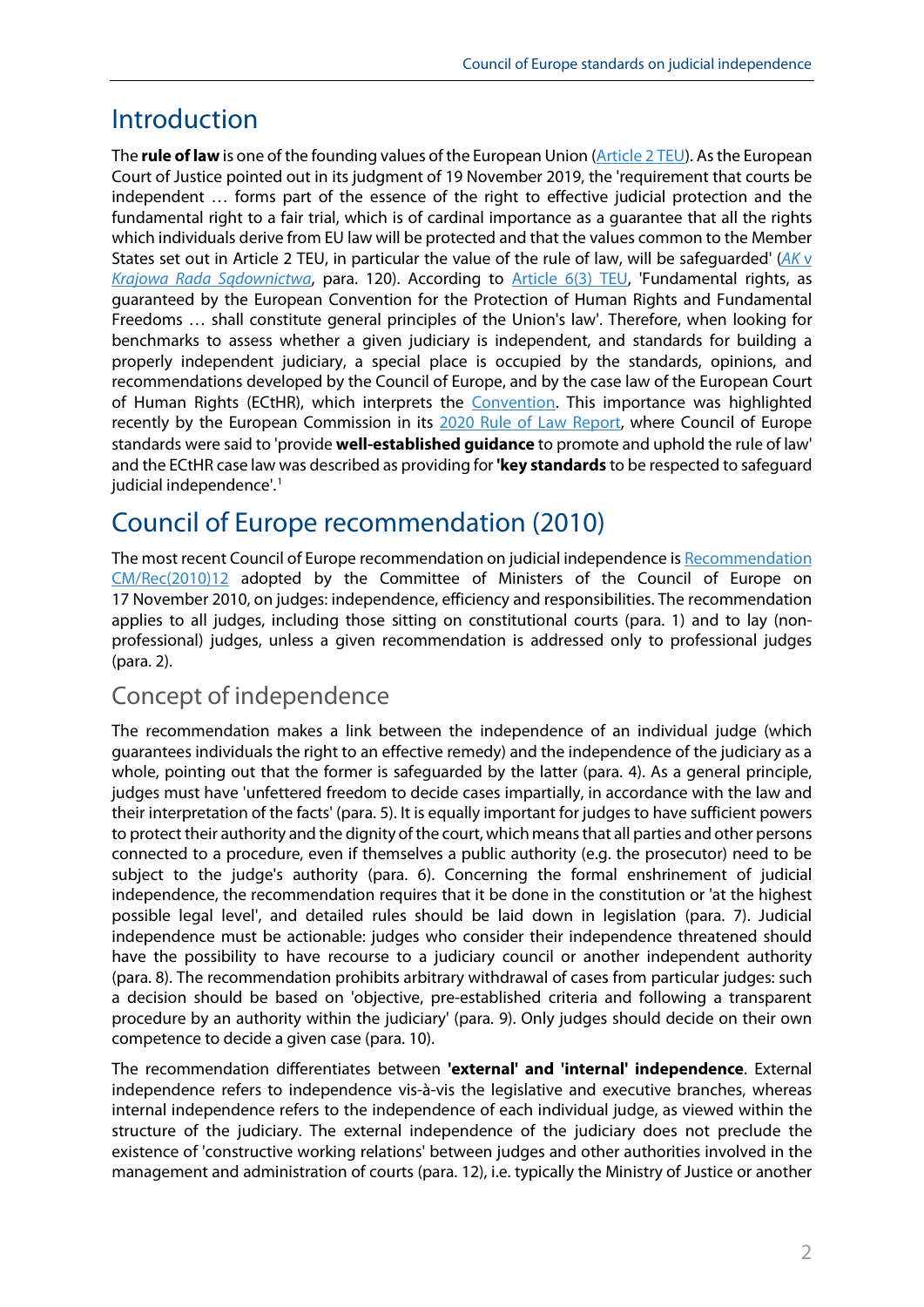### Introduction

The **rule of law** is one of the founding values of the European Union [\(Article 2 TEU\)](https://eur-lex.europa.eu/eli/treaty/teu_2012/art_2/oj). As the European Court of Justice pointed out in its judgment of 19 November 2019, the 'requirement that courts be independent … forms part of the essence of the right to effective judicial protection and the fundamental right to a fair trial, which is of cardinal importance as a guarantee that all the rights which individuals derive from EU law will be protected and that the values common to the Member States set out in Article 2 TEU, in particular the value of the rule of law, will be safeguarded' (*[AK](https://eur-lex.europa.eu/legal-content/GA/ALL/?uri=CELEX:62018CJ0585)* v *[Krajowa Rada Sądownictwa](https://eur-lex.europa.eu/legal-content/GA/ALL/?uri=CELEX:62018CJ0585)*, para. 120). According to [Article 6\(3\) TEU,](https://eur-lex.europa.eu/eli/treaty/teu_2012/art_6/oj) 'Fundamental rights, as guaranteed by the European Convention for the Protection of Human Rights and Fundamental Freedoms … shall constitute general principles of the Union's law'. Therefore, when looking for benchmarks to assess whether a given judiciary is independent, and standards for building a properly independent judiciary, a special place is occupied by the standards, opinions, and recommendations developed by the Council of Europe, and by the case law of the European Court of Human Rights (ECtHR), which interprets the [Convention.](https://www.echr.coe.int/documents/convention_eng.pdf) This importance was highlighted recently by the European Commission in its [2020 Rule of Law Report,](https://eur-lex.europa.eu/legal-content/EN/TXT/PDF/?uri=CELEX:52020DC0580&from=EN) where Council of Europe standards were said to 'provide **well-established guidance** to promote and uphold the rule of law' and the ECtHR case law was described as providing for **'key standards** to be respected to safeguard judicial independence'.<sup>[1](#page-11-0)</sup>

# Council of Europe recommendation (2010)

The most recent Council of Europe recommendation on judicial independence is [Recommendation](https://search.coe.int/cm/Pages/result_details.aspx?ObjectId=09000016805afb78)  [CM/Rec\(2010\)12](https://search.coe.int/cm/Pages/result_details.aspx?ObjectId=09000016805afb78) adopted by the Committee of Ministers of the Council of Europe on 17 November 2010, on judges: independence, efficiency and responsibilities. The recommendation applies to all judges, including those sitting on constitutional courts (para. 1) and to lay (nonprofessional) judges, unless a given recommendation is addressed only to professional judges (para. 2).

### Concept of independence

The recommendation makes a link between the independence of an individual judge (which guarantees individuals the right to an effective remedy) and the independence of the judiciary as a whole, pointing out that the former is safeguarded by the latter (para. 4). As a general principle, judges must have 'unfettered freedom to decide cases impartially, in accordance with the law and their interpretation of the facts' (para. 5). It is equally important for judges to have sufficient powers to protect their authority and the dignity of the court, which means that all parties and other persons connected to a procedure, even if themselves a public authority (e.g. the prosecutor) need to be subject to the judge's authority (para. 6). Concerning the formal enshrinement of judicial independence, the recommendation requires that it be done in the constitution or 'at the highest possible legal level', and detailed rules should be laid down in legislation (para. 7). Judicial independence must be actionable: judges who consider their independence threatened should have the possibility to have recourse to a judiciary council or another independent authority (para. 8). The recommendation prohibits arbitrary withdrawal of cases from particular judges: such a decision should be based on 'objective, pre-established criteria and following a transparent procedure by an authority within the judiciary' (para. 9). Only judges should decide on their own competence to decide a given case (para. 10).

The recommendation differentiates between **'external' and 'internal' independence**. External independence refers to independence vis-à-vis the legislative and executive branches, whereas internal independence refers to the independence of each individual judge, as viewed within the structure of the judiciary. The external independence of the judiciary does not preclude the existence of 'constructive working relations' between judges and other authorities involved in the management and administration of courts (para. 12), i.e. typically the Ministry of Justice or another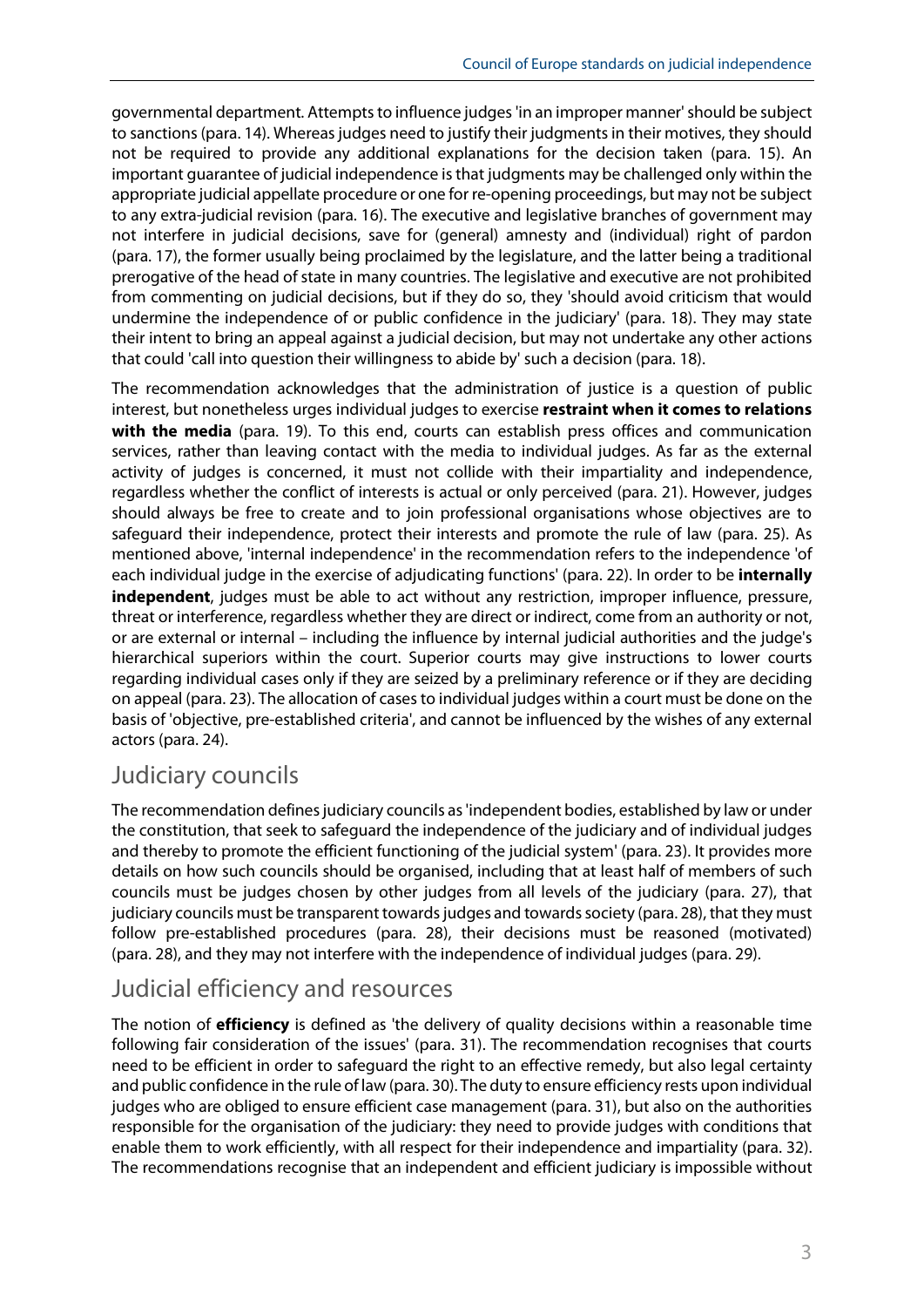governmental department. Attempts to influence judges 'in an improper manner' should be subject to sanctions (para. 14). Whereas judges need to justify their judgments in their motives, they should not be required to provide any additional explanations for the decision taken (para. 15). An important guarantee of judicial independence is that judgments may be challenged only within the appropriate judicial appellate procedure or one for re-opening proceedings, but may not be subject to any extra-judicial revision (para. 16). The executive and legislative branches of government may not interfere in judicial decisions, save for (general) amnesty and (individual) right of pardon (para. 17), the former usually being proclaimed by the legislature, and the latter being a traditional prerogative of the head of state in many countries. The legislative and executive are not prohibited from commenting on judicial decisions, but if they do so, they 'should avoid criticism that would undermine the independence of or public confidence in the judiciary' (para. 18). They may state their intent to bring an appeal against a judicial decision, but may not undertake any other actions that could 'call into question their willingness to abide by' such a decision (para. 18).

The recommendation acknowledges that the administration of justice is a question of public interest, but nonetheless urges individual judges to exercise **restraint when it comes to relations with the media** (para. 19). To this end, courts can establish press offices and communication services, rather than leaving contact with the media to individual judges. As far as the external activity of judges is concerned, it must not collide with their impartiality and independence, regardless whether the conflict of interests is actual or only perceived (para. 21). However, judges should always be free to create and to join professional organisations whose objectives are to safeguard their independence, protect their interests and promote the rule of law (para. 25). As mentioned above, 'internal independence' in the recommendation refers to the independence 'of each individual judge in the exercise of adjudicating functions' (para. 22). In order to be **internally independent**, judges must be able to act without any restriction, improper influence, pressure, threat or interference, regardless whether they are direct or indirect, come from an authority or not, or are external or internal – including the influence by internal judicial authorities and the judge's hierarchical superiors within the court. Superior courts may give instructions to lower courts regarding individual cases only if they are seized by a preliminary reference or if they are deciding on appeal (para. 23). The allocation of cases to individual judges within a court must be done on the basis of 'objective, pre-established criteria', and cannot be influenced by the wishes of any external actors (para. 24).

#### Judiciary councils

The recommendation defines judiciary councils as 'independent bodies, established by law or under the constitution, that seek to safeguard the independence of the judiciary and of individual judges and thereby to promote the efficient functioning of the judicial system' (para. 23). It provides more details on how such councils should be organised, including that at least half of members of such councils must be judges chosen by other judges from all levels of the judiciary (para. 27), that judiciary councils must be transparent towards judges and towards society (para. 28), that they must follow pre-established procedures (para. 28), their decisions must be reasoned (motivated) (para. 28), and they may not interfere with the independence of individual judges (para. 29).

#### Judicial efficiency and resources

The notion of **efficiency** is defined as 'the delivery of quality decisions within a reasonable time following fair consideration of the issues' (para. 31). The recommendation recognises that courts need to be efficient in order to safeguard the right to an effective remedy, but also legal certainty and public confidence in the rule of law (para. 30). The duty to ensure efficiency rests upon individual judges who are obliged to ensure efficient case management (para. 31), but also on the authorities responsible for the organisation of the judiciary: they need to provide judges with conditions that enable them to work efficiently, with all respect for their independence and impartiality (para. 32). The recommendations recognise that an independent and efficient judiciary is impossible without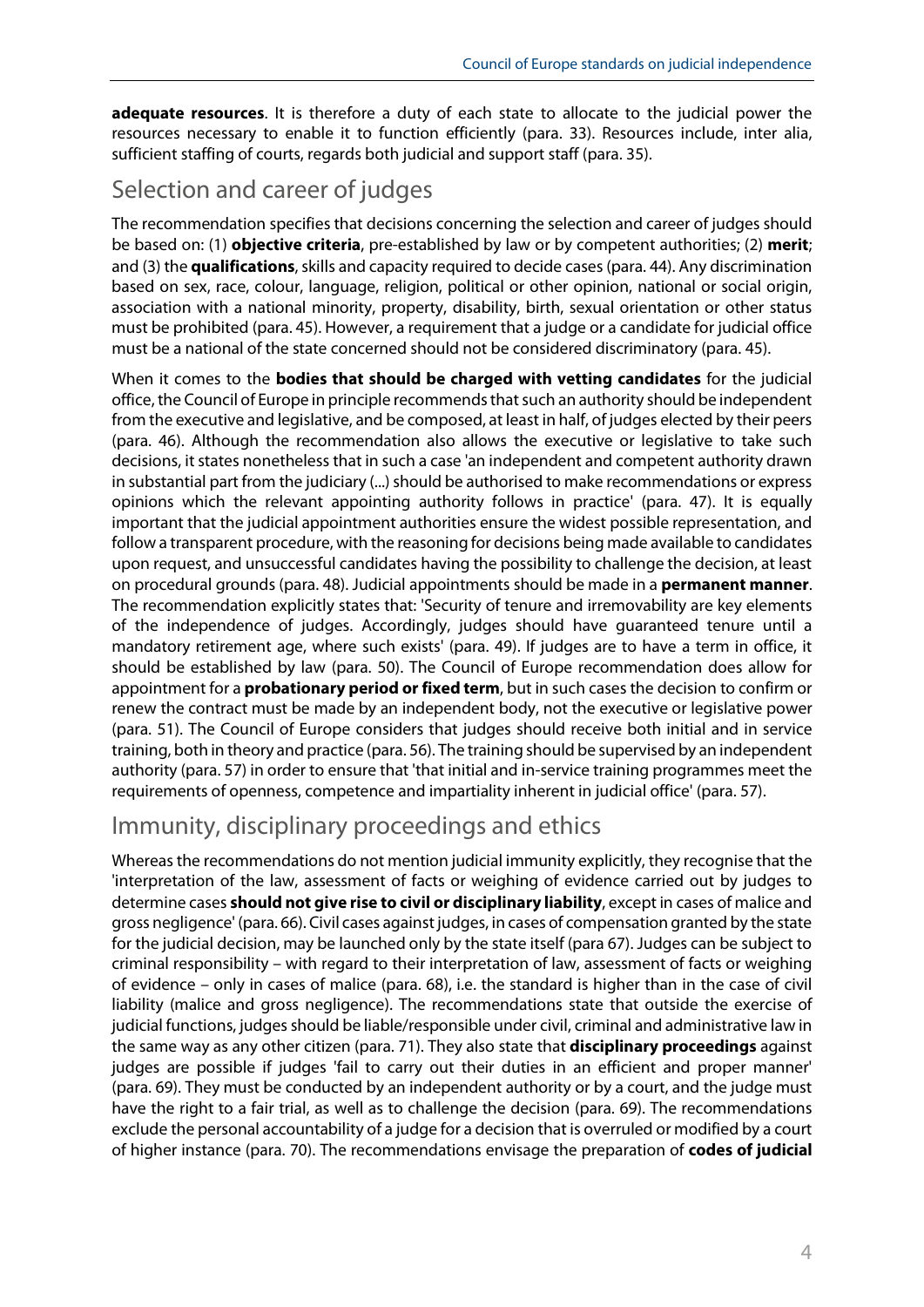**adequate resources**. It is therefore a duty of each state to allocate to the judicial power the resources necessary to enable it to function efficiently (para. 33). Resources include, inter alia, sufficient staffing of courts, regards both judicial and support staff (para. 35).

### Selection and career of judges

The recommendation specifies that decisions concerning the selection and career of judges should be based on: (1) **objective criteria**, pre-established by law or by competent authorities; (2) **merit**; and (3) the **qualifications**, skills and capacity required to decide cases (para. 44). Any discrimination based on sex, race, colour, language, religion, political or other opinion, national or social origin, association with a national minority, property, disability, birth, sexual orientation or other status must be prohibited (para. 45). However, a requirement that a judge or a candidate for judicial office must be a national of the state concerned should not be considered discriminatory (para. 45).

When it comes to the **bodies that should be charged with vetting candidates** for the judicial office, the Council of Europe in principle recommendsthatsuch an authority should be independent from the executive and legislative, and be composed, at least in half, of judges elected by their peers (para. 46). Although the recommendation also allows the executive or legislative to take such decisions, it states nonetheless that in such a case 'an independent and competent authority drawn in substantial part from the judiciary (...) should be authorised to make recommendations or express opinions which the relevant appointing authority follows in practice' (para. 47). It is equally important that the judicial appointment authorities ensure the widest possible representation, and follow a transparent procedure, with the reasoning for decisions being made available to candidates upon request, and unsuccessful candidates having the possibility to challenge the decision, at least on procedural grounds (para. 48). Judicial appointments should be made in a **permanent manner**. The recommendation explicitly states that: 'Security of tenure and irremovability are key elements of the independence of judges. Accordingly, judges should have guaranteed tenure until a mandatory retirement age, where such exists' (para. 49). If judges are to have a term in office, it should be established by law (para. 50). The Council of Europe recommendation does allow for appointment for a **probationary period or fixed term**, but in such cases the decision to confirm or renew the contract must be made by an independent body, not the executive or legislative power (para. 51). The Council of Europe considers that judges should receive both initial and in service training, both in theory and practice (para. 56). The training should be supervised by an independent authority (para. 57) in order to ensure that 'that initial and in-service training programmes meet the requirements of openness, competence and impartiality inherent in judicial office' (para. 57).

### Immunity, disciplinary proceedings and ethics

Whereas the recommendations do not mention judicial immunity explicitly, they recognise that the 'interpretation of the law, assessment of facts or weighing of evidence carried out by judges to determine cases **should not give rise to civil or disciplinary liability**, except in cases of malice and gross negligence' (para. 66). Civil cases against judges, in cases of compensation granted by the state for the judicial decision, may be launched only by the state itself (para 67). Judges can be subject to criminal responsibility – with regard to their interpretation of law, assessment of facts or weighing of evidence – only in cases of malice (para. 68), i.e. the standard is higher than in the case of civil liability (malice and gross negligence). The recommendations state that outside the exercise of judicial functions, judges should be liable/responsible under civil, criminal and administrative law in the same way as any other citizen (para. 71). They also state that **disciplinary proceedings** against judges are possible if judges 'fail to carry out their duties in an efficient and proper manner' (para. 69). They must be conducted by an independent authority or by a court, and the judge must have the right to a fair trial, as well as to challenge the decision (para. 69). The recommendations exclude the personal accountability of a judge for a decision that is overruled or modified by a court of higher instance (para. 70). The recommendations envisage the preparation of **codes of judicial**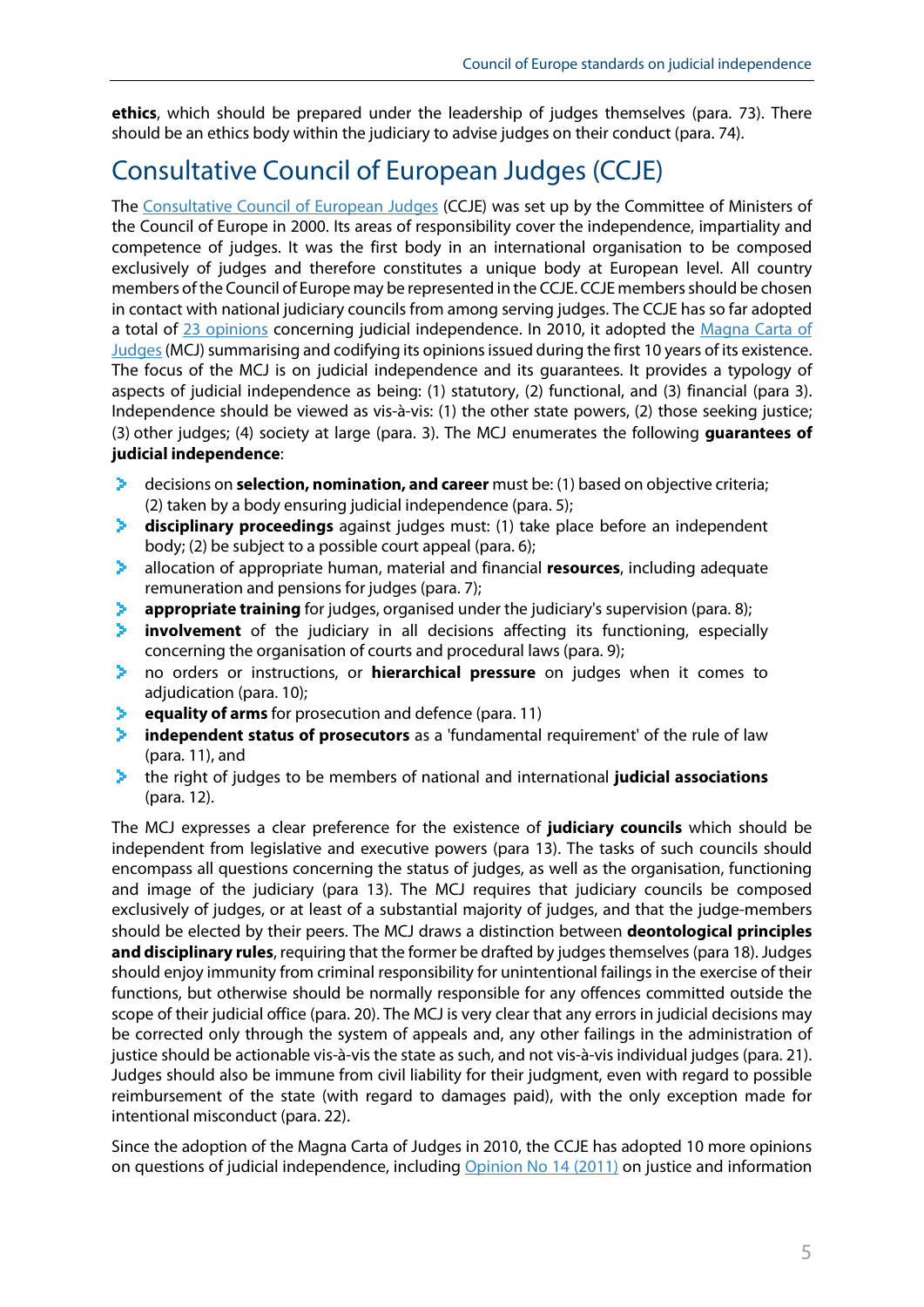**ethics**, which should be prepared under the leadership of judges themselves (para. 73). There should be an ethics body within the judiciary to advise judges on their conduct (para. 74).

# Consultative Council of European Judges (CCJE)

The [Consultative Council of European Judges](https://www.coe.int/en/web/ccje/background-and-mission) (CCJE) was set up by the Committee of Ministers of the Council of Europe in 2000. Its areas of responsibility cover the independence, impartiality and competence of judges. It was the first body in an international organisation to be composed exclusively of judges and therefore constitutes a unique body at European level. All country members of the Council of Europe may be represented in the CCJE. CCJE members should be chosen in contact with national judiciary councils from among serving judges. The CCJE has so far adopted a total of [23 opinions](https://www.coe.int/en/web/ccje/ccje-opinions-and-magna-carta) concerning judicial independence. In 2010, it adopted the Magna Carta of Judges (MCJ) summarising and codifying its opinions issued during the first 10 years of its existence. The focus of the MCJ is on judicial independence and its guarantees. It provides a typology of aspects of judicial independence as being: (1) statutory, (2) functional, and (3) financial (para 3). Independence should be viewed as vis-à-vis: (1) the other state powers, (2) those seeking justice; (3) other judges; (4) society at large (para. 3). The MCJ enumerates the following **guarantees of judicial independence**:

- ≻. decisions on **selection, nomination, and career** must be: (1) based on objective criteria; (2) taken by a body ensuring judicial independence (para. 5);
- э. **disciplinary proceedings** against judges must: (1) take place before an independent body; (2) be subject to a possible court appeal (para. 6);
- ×. allocation of appropriate human, material and financial **resources**, including adequate remuneration and pensions for judges (para. 7);
- э. **appropriate training** for judges, organised under the judiciary's supervision (para. 8);
- **involvement** of the judiciary in all decisions affecting its functioning, especially ≯. concerning the organisation of courts and procedural laws (para. 9);
- no orders or instructions, or **hierarchical pressure** on judges when it comes to ×. adjudication (para. 10);
- **equality of arms** for prosecution and defence (para. 11)
- **independent status of prosecutors** as a 'fundamental requirement' of the rule of law э. (para. 11), and
- the right of judges to be members of national and international **judicial associations** ×. (para. 12).

The MCJ expresses a clear preference for the existence of **judiciary councils** which should be independent from legislative and executive powers (para 13). The tasks of such councils should encompass all questions concerning the status of judges, as well as the organisation, functioning and image of the judiciary (para 13). The MCJ requires that judiciary councils be composed exclusively of judges, or at least of a substantial majority of judges, and that the judge-members should be elected by their peers. The MCJ draws a distinction between **deontological principles**  and disciplinary rules, requiring that the former be drafted by judges themselves (para 18). Judges should enjoy immunity from criminal responsibility for unintentional failings in the exercise of their functions, but otherwise should be normally responsible for any offences committed outside the scope of their judicial office (para. 20). The MCJ is very clear that any errors in judicial decisions may be corrected only through the system of appeals and, any other failings in the administration of justice should be actionable vis-à-vis the state as such, and not vis-à-vis individual judges (para. 21). Judges should also be immune from civil liability for their judgment, even with regard to possible reimbursement of the state (with regard to damages paid), with the only exception made for intentional misconduct (para. 22).

Since the adoption of the Magna Carta of Judges in 2010, the CCJE has adopted 10 more opinions on questions of judicial independence, includin[g Opinion No](https://wcd.coe.int/ViewDoc.jsp?Ref=CCJE(2011)2&Language=lanEnglish&Ver=original&BackColorInternet=DBDCF2&BackColorIntranet=FDC864&BackColorLogged=FDC864) 14 (2011) on justice and information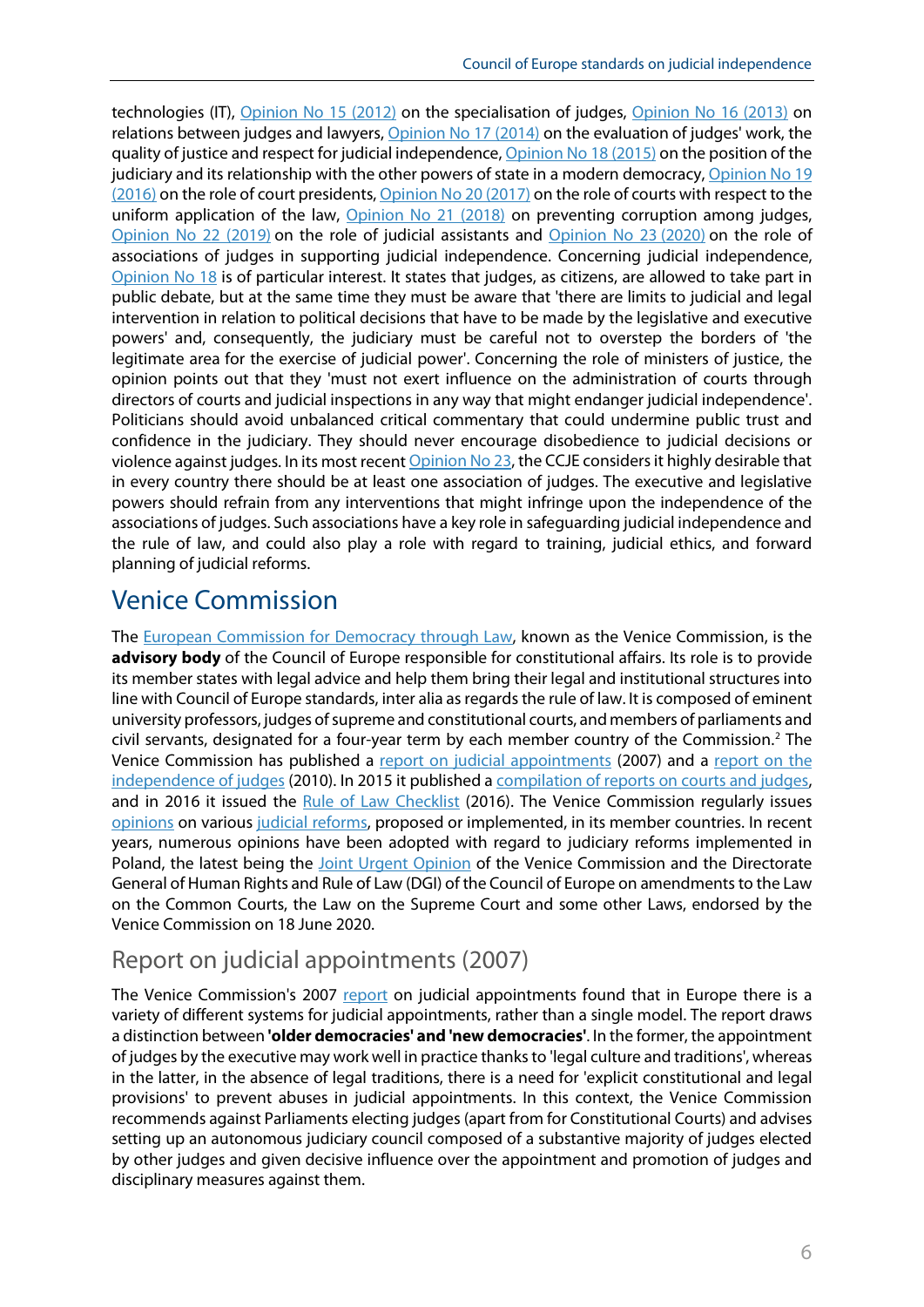technologies (IT), [Opinion No](https://wcd.coe.int/ViewDoc.jsp?Ref=CCJE(2012)4&Language=lanEnglish&Ver=original&BackColorInternet=DBDCF2&BackColorIntranet=FDC864&BackColorLogged=FDC864) 15 (2012) on the specialisation of judges, [Opinion No](https://wcd.coe.int/ViewDoc.jsp?Ref=CCJE(2013)4&Language=lanEnglish&Ver=original&BackColorInternet=DBDCF2&BackColorIntranet=FDC864&BackColorLogged=FDC864) 16 (2013) on relations between judges and lawyers, [Opinion No](https://wcd.coe.int/ViewDoc.jsp?Ref=CCJE(2014)2&Language=lanEnglish&Ver=original&BackColorInternet=DBDCF2&BackColorIntranet=FDC864&BackColorLogged=FDC864) 17 (2014) on the evaluation of judges' work, the quality of justice and respect for judicial independence, [Opinion No](https://wcd.coe.int/ViewDoc.jsp?Ref=CCJE(2015)4&Language=lanEnglish&Ver=original&BackColorInternet=DBDCF2&BackColorIntranet=FDC864&BackColorLogged=FDC864) 18 (2015) on the position of the judiciary and its relationship with the other powers of state in a modern democracy, [Opinion No](https://wcd.coe.int/ViewDoc.jsp?Ref=CCJE(2016)2&Language=lanEnglish&Ver=original&BackColorInternet=DBDCF2&BackColorIntranet=FDC864&BackColorLogged=FDC864) 19 [\(2016\)](https://wcd.coe.int/ViewDoc.jsp?Ref=CCJE(2016)2&Language=lanEnglish&Ver=original&BackColorInternet=DBDCF2&BackColorIntranet=FDC864&BackColorLogged=FDC864) on the role of court presidents, [Opinion No](https://rm.coe.int/opinion-ccje-en-20/16809ccaa5) 20 (2017) on the role of courts with respect to the uniform application of the law, [Opinion No](https://rm.coe.int/ccje-2018-3e-avis-21-ccje-2018-prevent-corruption-amongst-judges/native/16808fd8dd) 21 (2018) on preventing corruption among judges, [Opinion No 22 \(2019\)](https://rm.coe.int/opinion-22-ccje-en/168098eecb) on the role of judicial assistants and [Opinion No](https://rm.coe.int/opinion-23-en-ccje-2020/1680a03d4b) 23 (2020) on the role of associations of judges in supporting judicial independence. Concerning judicial independence, [Opinion No](https://wcd.coe.int/ViewDoc.jsp?Ref=CCJE(2015)4&Language=lanEnglish&Ver=original&BackColorInternet=DBDCF2&BackColorIntranet=FDC864&BackColorLogged=FDC864) 18 is of particular interest. It states that judges, as citizens, are allowed to take part in public debate, but at the same time they must be aware that 'there are limits to judicial and legal intervention in relation to political decisions that have to be made by the legislative and executive powers' and, consequently, the judiciary must be careful not to overstep the borders of 'the legitimate area for the exercise of judicial power'. Concerning the role of ministers of justice, the opinion points out that they 'must not exert influence on the administration of courts through directors of courts and judicial inspections in any way that might endanger judicial independence'. Politicians should avoid unbalanced critical commentary that could undermine public trust and confidence in the judiciary. They should never encourage disobedience to judicial decisions or violence against judges. In its most recen[t Opinion No](https://rm.coe.int/opinion-23-en-ccje-2020/1680a03d4b) 23, the CCJE considers it highly desirable that in every country there should be at least one association of judges. The executive and legislative powers should refrain from any interventions that might infringe upon the independence of the associations of judges. Such associations have a key role in safeguarding judicial independence and the rule of law, and could also play a role with regard to training, judicial ethics, and forward planning of judicial reforms.

# Venice Commission

The [European Commission for Democracy through Law,](https://www.venice.coe.int/WebForms/pages/?p=01_Presentation&lang=EN) known as the Venice Commission, is the **advisory body** of the Council of Europe responsible for constitutional affairs. Its role is to provide its member states with legal advice and help them bring their legal and institutional structures into line with Council of Europe standards, inter alia as regards the rule of law. It is composed of eminent university professors, judges of supreme and constitutional courts, and members of parliaments and civil servants, designated for a four-year term by each member country of the Commission.<sup>[2](#page-11-1)</sup> The Venice Commission has published a [report on judicial appointments](https://www.venice.coe.int/webforms/documents/CDL-AD(2007)028.aspx) (2007) and a [report on the](https://www.venice.coe.int/webforms/documents/?pdf=CDL-AD(2010)004-e)  [independence of judges](https://www.venice.coe.int/webforms/documents/?pdf=CDL-AD(2010)004-e) (2010). In 2015 it published a [compilation of reports on courts and judges,](https://www.venice.coe.int/webforms/documents/?pdf=CDL-PI%282015%29001-e) and in 2016 it issued the [Rule of Law Checklist](https://www.venice.coe.int/webforms/documents/?pdf=CDL-AD(2016)007-e) (2016). The Venice Commission regularly issues [opinions](https://www.venice.coe.int/webforms/documents/?topic=27&year=all) on various [judicial reforms,](https://www.venice.coe.int/WebForms/pages/?p=02_Judiciary&lang=EN) proposed or implemented, in its member countries. In recent years, numerous opinions have been adopted with regard to judiciary reforms implemented in Poland, the latest being the [Joint Urgent Opinion](https://www.venice.coe.int/webforms/documents/?pdf=CDL-AD(2020)017-e) of the Venice Commission and the Directorate General of Human Rights and Rule of Law (DGI) of the Council of Europe on amendments to the Law on the Common Courts, the Law on the Supreme Court and some other Laws, endorsed by the Venice Commission on 18 June 2020.

### Report on judicial appointments (2007)

The Venice Commission's 2007 [report](https://www.venice.coe.int/webforms/documents/CDL-AD(2007)028.aspx) on judicial appointments found that in Europe there is a variety of different systems for judicial appointments, rather than a single model. The report draws a distinction between **'older democracies' and 'new democracies'**. In the former, the appointment of judges by the executive may work well in practice thanks to 'legal culture and traditions', whereas in the latter, in the absence of legal traditions, there is a need for 'explicit constitutional and legal provisions' to prevent abuses in judicial appointments. In this context, the Venice Commission recommends against Parliaments electing judges (apart from for Constitutional Courts) and advises setting up an autonomous judiciary council composed of a substantive majority of judges elected by other judges and given decisive influence over the appointment and promotion of judges and disciplinary measures against them.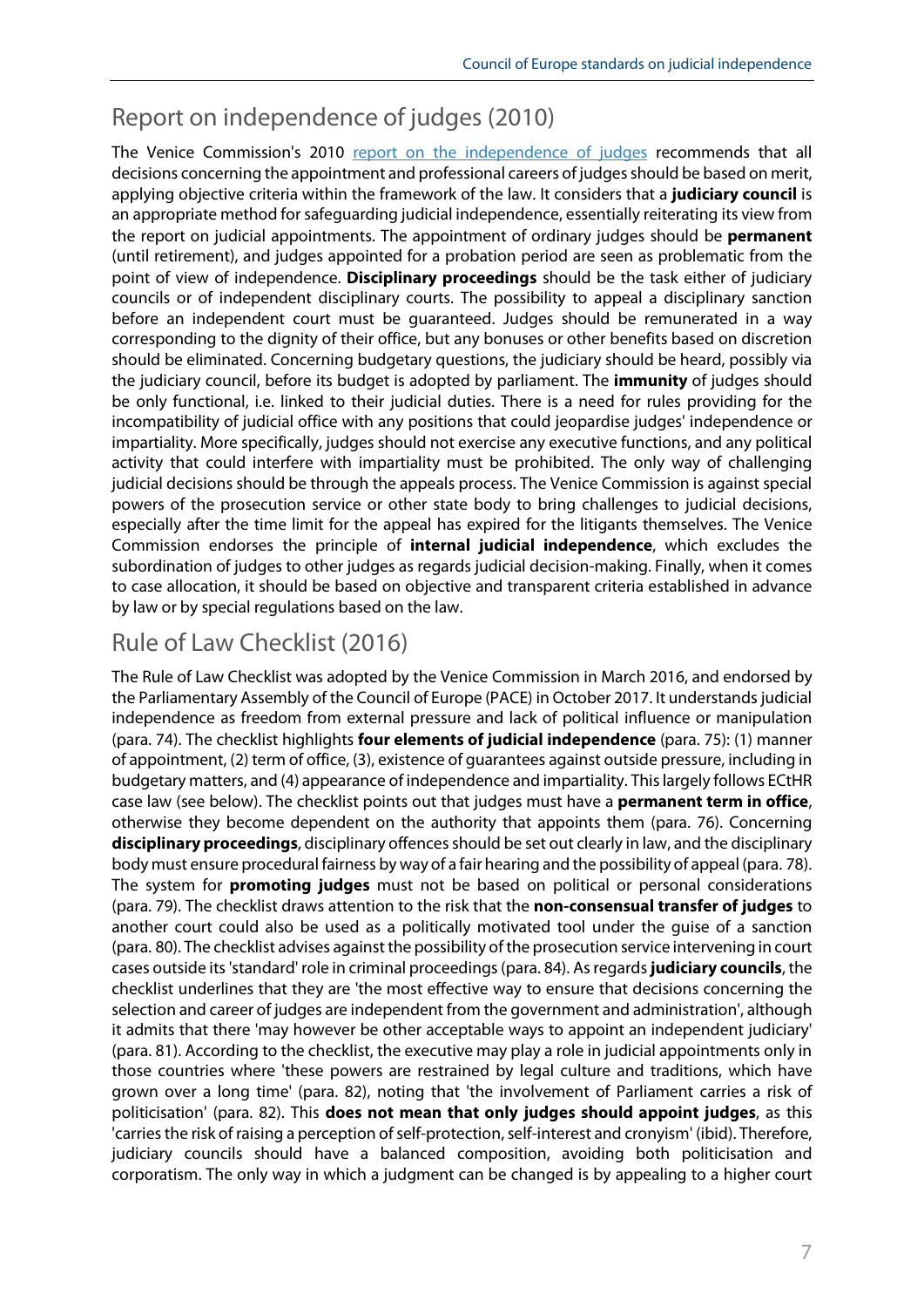# Report on independence of judges (2010)

The Venice Commission's 2010 [report on the independence of judges](https://www.venice.coe.int/webforms/documents/?pdf=CDL-AD(2010)004-e) recommends that all decisions concerning the appointment and professional careers of judges should be based on merit, applying objective criteria within the framework of the law. It considers that a **judiciary council** is an appropriate method for safeguarding judicial independence, essentially reiterating its view from the report on judicial appointments. The appointment of ordinary judges should be **permanent** (until retirement), and judges appointed for a probation period are seen as problematic from the point of view of independence. **Disciplinary proceedings** should be the task either of judiciary councils or of independent disciplinary courts. The possibility to appeal a disciplinary sanction before an independent court must be guaranteed. Judges should be remunerated in a way corresponding to the dignity of their office, but any bonuses or other benefits based on discretion should be eliminated. Concerning budgetary questions, the judiciary should be heard, possibly via the judiciary council, before its budget is adopted by parliament. The **immunity** of judges should be only functional, i.e. linked to their judicial duties. There is a need for rules providing for the incompatibility of judicial office with any positions that could jeopardise judges' independence or impartiality. More specifically, judges should not exercise any executive functions, and any political activity that could interfere with impartiality must be prohibited. The only way of challenging judicial decisions should be through the appeals process. The Venice Commission is against special powers of the prosecution service or other state body to bring challenges to judicial decisions, especially after the time limit for the appeal has expired for the litigants themselves. The Venice Commission endorses the principle of **internal judicial independence**, which excludes the subordination of judges to other judges as regards judicial decision-making. Finally, when it comes to case allocation, it should be based on objective and transparent criteria established in advance by law or by special regulations based on the law.

### Rule of Law Checklist (2016)

The Rule of Law Checklist was adopted by the Venice Commission in March 2016, and endorsed by the Parliamentary Assembly of the Council of Europe (PACE) in October 2017. It understandsjudicial independence as freedom from external pressure and lack of political influence or manipulation (para. 74). The checklist highlights **four elements of judicial independence** (para. 75): (1) manner of appointment, (2) term of office, (3), existence of guarantees against outside pressure, including in budgetary matters, and (4) appearance of independence and impartiality. This largely follows ECtHR case law (see below). The checklist points out that judges must have a **permanent term in office**, otherwise they become dependent on the authority that appoints them (para. 76). Concerning **disciplinary proceedings**, disciplinary offences should be set out clearly in law, and the disciplinary body must ensure procedural fairness by way of a fair hearing and the possibility of appeal (para. 78). The system for **promoting judges** must not be based on political or personal considerations (para. 79). The checklist draws attention to the risk that the **non-consensual transfer of judges** to another court could also be used as a politically motivated tool under the guise of a sanction (para. 80). The checklist advises against the possibility of the prosecution service intervening in court cases outside its 'standard' role in criminal proceedings (para. 84). As regards **judiciary councils**, the checklist underlines that they are 'the most effective way to ensure that decisions concerning the selection and career of judges are independent from the government and administration', although it admits that there 'may however be other acceptable ways to appoint an independent judiciary' (para. 81). According to the checklist, the executive may play a role in judicial appointments only in those countries where 'these powers are restrained by legal culture and traditions, which have grown over a long time' (para. 82), noting that 'the involvement of Parliament carries a risk of politicisation' (para. 82). This **does not mean that only judges should appoint judges**, as this 'carries the risk of raising a perception of self-protection, self-interest and cronyism' (ibid). Therefore, judiciary councils should have a balanced composition, avoiding both politicisation and corporatism. The only way in which a judgment can be changed is by appealing to a higher court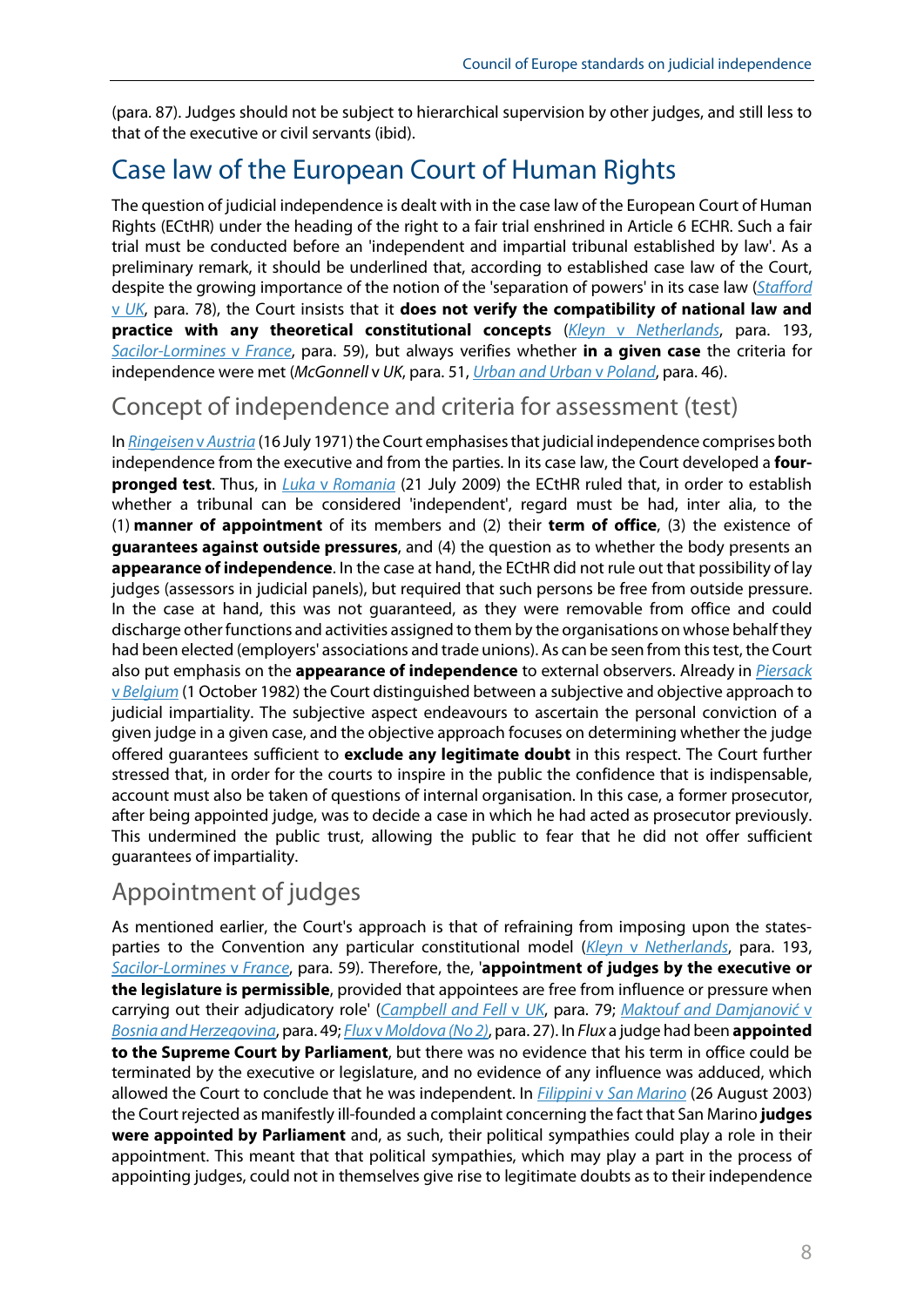(para. 87). Judges should not be subject to hierarchical supervision by other judges, and still less to that of the executive or civil servants (ibid).

# Case law of the European Court of Human Rights

The question of judicial independence is dealt with in the case law of the European Court of Human Rights (ECtHR) under the heading of the right to a fair trial enshrined in Article 6 ECHR. Such a fair trial must be conducted before an 'independent and impartial tribunal established by law'. As a preliminary remark, it should be underlined that, according to established case law of the Court, despite the growing importance of the notion of the 'separation of powers' in its case law (*[Stafford](https://hudoc.echr.coe.int/eng#%7B%22appno%22:%5B%2246295/99%22%5D%7D)*  [v](https://hudoc.echr.coe.int/eng#%7B%22appno%22:%5B%2246295/99%22%5D%7D) *[UK](https://hudoc.echr.coe.int/eng#%7B%22appno%22:%5B%2246295/99%22%5D%7D)*, para. 78), the Court insists that it **does not verify the compatibility of national law and practice with any theoretical constitutional concepts** (*Kleyn* v *[Netherlands](http://hudoc.echr.coe.int/eng?i=001-61077)*, para. 193, *[Sacilor-Lormines](http://hudoc.echr.coe.int/eng?i=001-77947)* v *France*, para. 59), but always verifies whether **in a given case** the criteria for independence were met (*McGonnell* v *UK*, para. 51, *[Urban and Urban](http://hudoc.echr.coe.int/eng?i=001-101962)* v *Poland*, para. 46).

### Concept of independence and criteria for assessment (test)

In *[Ringeisen](http://hudoc.echr.coe.int/eng?i=001-57565) v Austria* (16 July 1971) the Court emphasises that judicial independence comprises both independence from the executive and from the parties. In its case law, the Court developed a **fourpronged test**. Thus, in *Luka* v *[Romania](http://hudoc.echr.coe.int/eng?i=001-93648)* (21 July 2009) the ECtHR ruled that, in order to establish whether a tribunal can be considered 'independent', regard must be had, inter alia, to the (1) **manner of appointment** of its members and (2) their **term of office**, (3) the existence of **guarantees against outside pressures**, and (4) the question as to whether the body presents an **appearance of independence**. In the case at hand, the ECtHR did not rule out that possibility of lay judges (assessors in judicial panels), but required that such persons be free from outside pressure. In the case at hand, this was not guaranteed, as they were removable from office and could discharge other functions and activities assigned to them by the organisations on whose behalf they had been elected (employers' associations and trade unions). As can be seen from this test, the Court also put emphasis on the **appearance of independence** to external observers. Already in *[Piersack](http://hudoc.echr.coe.int/eng?i=001-57556)*  [v](http://hudoc.echr.coe.int/eng?i=001-57556) *[Belgium](http://hudoc.echr.coe.int/eng?i=001-57556)* (1 October 1982) the Court distinguished between a subjective and objective approach to judicial impartiality. The subjective aspect endeavours to ascertain the personal conviction of a given judge in a given case, and the objective approach focuses on determining whether the judge offered guarantees sufficient to **exclude any legitimate doubt** in this respect. The Court further stressed that, in order for the courts to inspire in the public the confidence that is indispensable, account must also be taken of questions of internal organisation. In this case, a former prosecutor, after being appointed judge, was to decide a case in which he had acted as prosecutor previously. This undermined the public trust, allowing the public to fear that he did not offer sufficient guarantees of impartiality.

### Appointment of judges

As mentioned earlier, the Court's approach is that of refraining from imposing upon the statesparties to the Convention any particular constitutional model (*Kleyn* v *[Netherlands](http://hudoc.echr.coe.int/eng?i=001-61077)*, para. 193, *[Sacilor-Lormines](http://hudoc.echr.coe.int/eng?i=001-77947)* v *France*, para. 59). Therefore, the, '**appointment of judges by the executive or the legislature is permissible**, provided that appointees are free from influence or pressure when carrying out their adjudicatory role' (*[Campbell and Fell](http://hudoc.echr.coe.int/eng?i=001-57456)* v *UK*, para. 79; *[Maktouf and Damjanović](http://hudoc.echr.coe.int/eng?i=001-122716)* [v](http://hudoc.echr.coe.int/eng?i=001-122716)  *[Bosnia and Herzegovina](http://hudoc.echr.coe.int/eng?i=001-122716)*, para. 49; *Flux* v*[Moldova \(No 2\)](http://hudoc.echr.coe.int/eng?i=001-81372)*, para. 27). In *Flux* a judge had been **appointed to the Supreme Court by Parliament**, but there was no evidence that his term in office could be terminated by the executive or legislature, and no evidence of any influence was adduced, which allowed the Court to conclude that he was independent. In *Filippini* v *[San Marino](https://www.google.com/url?sa=t&rct=j&q=&esrc=s&source=web&cd=&ved=2ahUKEwj5_Mvdu7fwAhXDhf0HHZoHD-oQFjAMegQIBBAD&url=http%3A%2F%2Fhudoc.echr.coe.int%2Fapp%2Fconversion%2Fdocx%2Fpdf%3Flibrary%3DECHR%26id%3D001-44376%26filename%3DCEDH.pdf&usg=AOvVaw0SqObvA_29JCzoxWf2yjk1)* (26 August 2003) the Court rejected as manifestly ill-founded a complaint concerning the fact that San Marino **judges were appointed by Parliament** and, as such, their political sympathies could play a role in their appointment. This meant that that political sympathies, which may play a part in the process of appointing judges, could not in themselves give rise to legitimate doubts as to their independence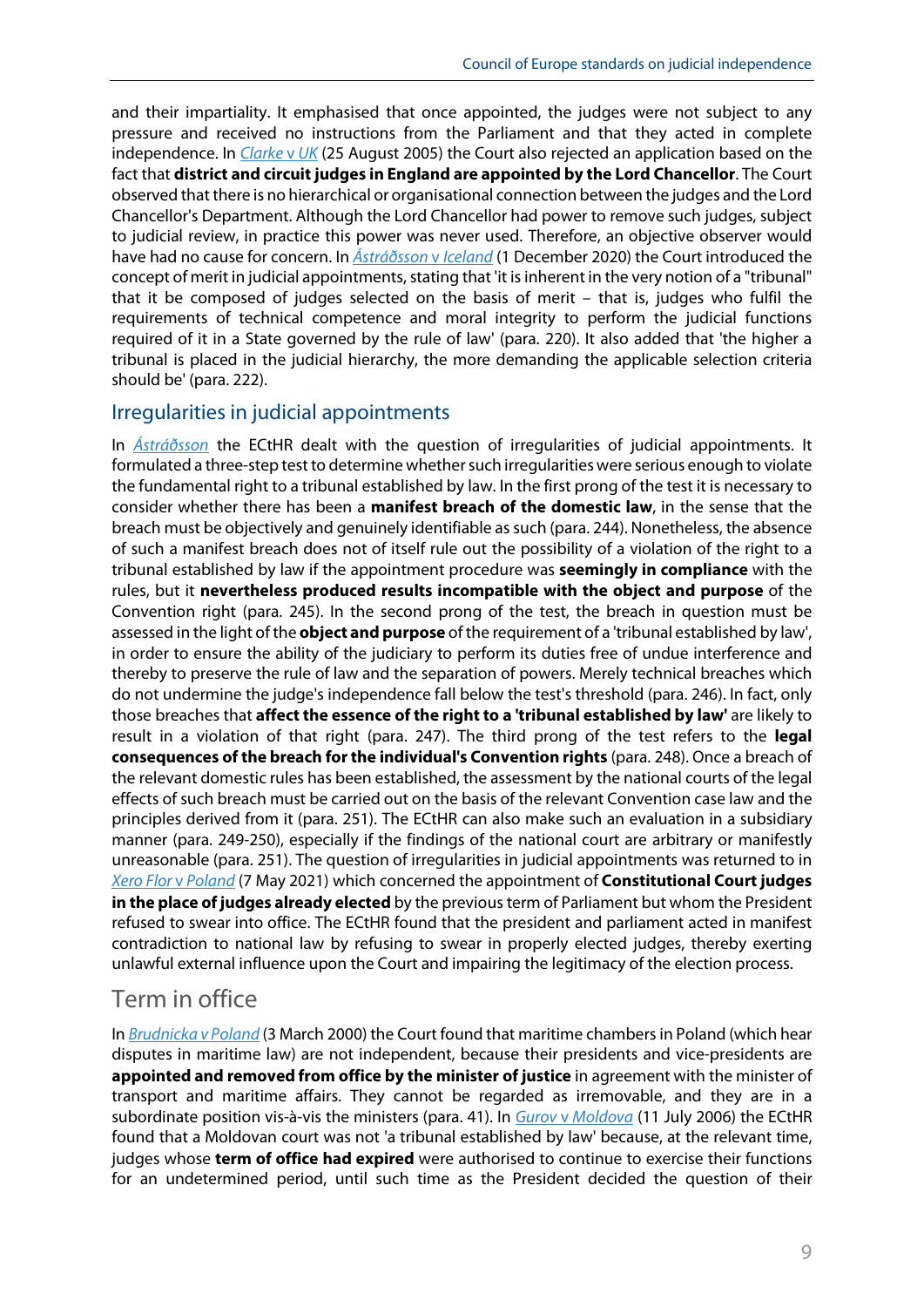and their impartiality. It emphasised that once appointed, the judges were not subject to any pressure and received no instructions from the Parliament and that they acted in complete independence. In *[Clarke](https://www.google.com/url?sa=t&rct=j&q=&esrc=s&source=web&cd=&ved=2ahUKEwiDw_isvLfwAhU6hf0HHXYKDeMQFjAAegQIBBAD&url=http%3A%2F%2Fhudoc.echr.coe.int%2Fapp%2Fconversion%2Fpdf%2F%3Flibrary%3DECHR%26id%3D001-70188%26filename%3D001-70188.pdf&usg=AOvVaw0-V1hoxzWQbFeGhcrfJ6RN)* v *UK* (25 August 2005) the Court also rejected an application based on the fact that **district and circuit judges in England are appointed by the Lord Chancellor**. The Court observed that there is no hierarchical or organisational connection between the judges and the Lord Chancellor's Department. Although the Lord Chancellor had power to remove such judges, subject to judicial review, in practice this power was never used. Therefore, an objective observer would have had no cause for concern. In *[Ástráðsson](http://hudoc.echr.coe.int/eng?i=001-206582)* v *Iceland* (1 December 2020) the Court introduced the concept of merit in judicial appointments, stating that 'it is inherent in the very notion of a "tribunal" that it be composed of judges selected on the basis of merit – that is, judges who fulfil the requirements of technical competence and moral integrity to perform the judicial functions required of it in a State governed by the rule of law' (para. 220). It also added that 'the higher a tribunal is placed in the judicial hierarchy, the more demanding the applicable selection criteria should be' (para. 222).

#### Irregularities in judicial appointments

In *[Ástráðsson](http://hudoc.echr.coe.int/eng?i=001-206582)* the ECtHR dealt with the question of irregularities of judicial appointments. It formulated a three-step test to determine whether such irregularities were serious enough to violate the fundamental right to a tribunal established by law. In the first prong of the test it is necessary to consider whether there has been a **manifest breach of the domestic law**, in the sense that the breach must be objectively and genuinely identifiable as such (para. 244). Nonetheless, the absence of such a manifest breach does not of itself rule out the possibility of a violation of the right to a tribunal established by law if the appointment procedure was **seemingly in compliance** with the rules, but it **nevertheless produced results incompatible with the object and purpose** of the Convention right (para. 245). In the second prong of the test, the breach in question must be assessed in the light of the **object and purpose** of the requirement of a 'tribunal established by law', in order to ensure the ability of the judiciary to perform its duties free of undue interference and thereby to preserve the rule of law and the separation of powers. Merely technical breaches which do not undermine the judge's independence fall below the test's threshold (para. 246). In fact, only those breaches that **affect the essence of the right to a 'tribunal established by law'** are likely to result in a violation of that right (para. 247). The third prong of the test refers to the **legal consequences of the breach for the individual's Convention rights** (para. 248). Once a breach of the relevant domestic rules has been established, the assessment by the national courts of the legal effects of such breach must be carried out on the basis of the relevant Convention case law and the principles derived from it (para. 251). The ECtHR can also make such an evaluation in a subsidiary manner (para. 249-250), especially if the findings of the national court are arbitrary or manifestly unreasonable (para. 251). The question of irregularities in judicial appointments was returned to in *[Xero Flor](http://hudoc.echr.coe.int/eng?i=001-210065)* v *Poland* (7 May 2021) which concerned the appointment of **Constitutional Court judges in the place of judges already elected** by the previous term of Parliament but whom the President refused to swear into office. The ECtHR found that the president and parliament acted in manifest contradiction to national law by refusing to swear in properly elected judges, thereby exerting unlawful external influence upon the Court and impairing the legitimacy of the election process.

### Term in office

In *[Brudnicka v Poland](http://hudoc.echr.coe.int/eng?i=001-78989)* (3 March 2000) the Court found that maritime chambers in Poland (which hear disputes in maritime law) are not independent, because their presidents and vice-presidents are **appointed and removed from office by the minister of justice** in agreement with the minister of transport and maritime affairs. They cannot be regarded as irremovable, and they are in a subordinate position vis-à-vis the ministers (para. 41). In *Gurov* v *[Moldova](http://hudoc.echr.coe.int/eng?i=001-76297)* (11 July 2006) the ECtHR found that a Moldovan court was not 'a tribunal established by law' because, at the relevant time, judges whose **term of office had expired** were authorised to continue to exercise their functions for an undetermined period, until such time as the President decided the question of their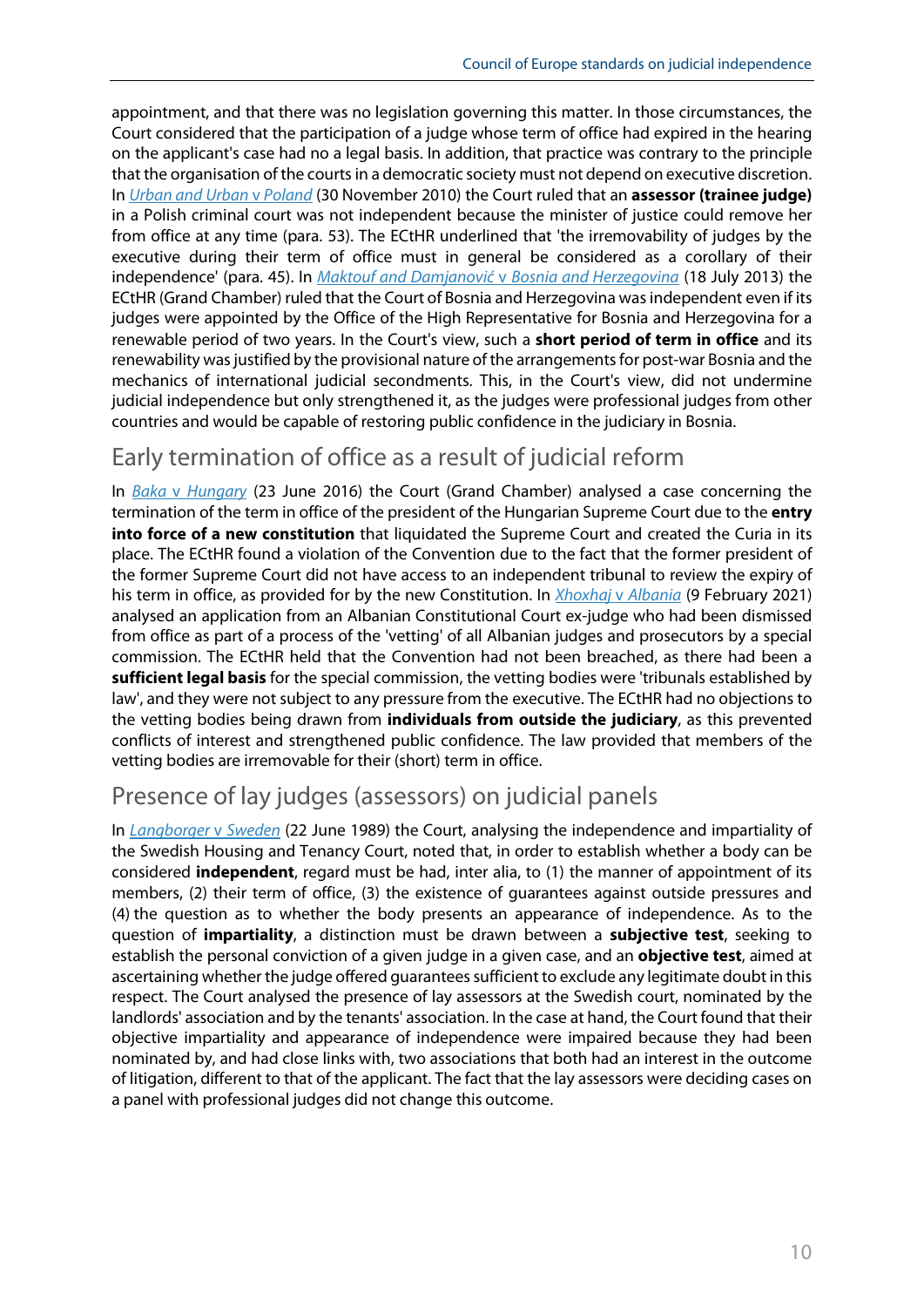appointment, and that there was no legislation governing this matter. In those circumstances, the Court considered that the participation of a judge whose term of office had expired in the hearing on the applicant's case had no a legal basis. In addition, that practice was contrary to the principle that the organisation of the courts in a democratic society must not depend on executive discretion. In *[Urban and Urban](https://hudoc.echr.coe.int/eng#%7B%22fulltext%22:%5B%22Urban%20v%20Poland%22%5D,%22documentcollectionid2%22:%5B%22GRANDCHAMBER%22,%22CHAMBER%22%5D,%22itemid%22:%5B%22001-101962%22%5D%7D)* v *Poland* (30 November 2010) the Court ruled that an **assessor (trainee judge)** in a Polish criminal court was not independent because the minister of justice could remove her from office at any time (para. 53). The ECtHR underlined that 'the irremovability of judges by the executive during their term of office must in general be considered as a corollary of their independence' (para. 45). In *[Maktouf and Damjanović](http://hudoc.echr.coe.int/eng?i=001-122716)* v *Bosnia and Herzegovina* (18 July 2013) the ECtHR (Grand Chamber) ruled that the Court of Bosnia and Herzegovina was independent even if its judges were appointed by the Office of the High Representative for Bosnia and Herzegovina for a renewable period of two years. In the Court's view, such a **short period of term in office** and its renewability was justified by the provisional nature of the arrangements for post-war Bosnia and the mechanics of international judicial secondments. This, in the Court's view, did not undermine judicial independence but only strengthened it, as the judges were professional judges from other countries and would be capable of restoring public confidence in the judiciary in Bosnia.

### Early termination of office as a result of judicial reform

In *Baka* v *[Hungary](http://hudoc.echr.coe.int/eng?i=001-163113)* (23 June 2016) the Court (Grand Chamber) analysed a case concerning the termination of the term in office of the president of the Hungarian Supreme Court due to the **entry into force of a new constitution** that liquidated the Supreme Court and created the Curia in its place. The ECtHR found a violation of the Convention due to the fact that the former president of the former Supreme Court did not have access to an independent tribunal to review the expiry of his term in office, as provided for by the new Constitution. In *[Xhoxhaj](http://hudoc.echr.coe.int/fre?i=001-208053)* v *Albania* (9 February 2021) analysed an application from an Albanian Constitutional Court ex-judge who had been dismissed from office as part of a process of the 'vetting' of all Albanian judges and prosecutors by a special commission. The ECtHR held that the Convention had not been breached, as there had been a **sufficient legal basis** for the special commission, the vetting bodies were 'tribunals established by law', and they were not subject to any pressure from the executive. The ECtHR had no objections to the vetting bodies being drawn from **individuals from outside the judiciary**, as this prevented conflicts of interest and strengthened public confidence. The law provided that members of the vetting bodies are irremovable for their (short) term in office.

### Presence of lay judges (assessors) on judicial panels

In *[Langborger](http://hudoc.echr.coe.int/eng?i=001-57515)* v *Sweden* (22 June 1989) the Court, analysing the independence and impartiality of the Swedish Housing and Tenancy Court, noted that, in order to establish whether a body can be considered **independent**, regard must be had, inter alia, to (1) the manner of appointment of its members, (2) their term of office, (3) the existence of guarantees against outside pressures and (4) the question as to whether the body presents an appearance of independence. As to the question of **impartiality**, a distinction must be drawn between a **subjective test**, seeking to establish the personal conviction of a given judge in a given case, and an **objective test**, aimed at ascertaining whether the judge offered guarantees sufficient to exclude any legitimate doubt in this respect. The Court analysed the presence of lay assessors at the Swedish court, nominated by the landlords' association and by the tenants' association. In the case at hand, the Court found that their objective impartiality and appearance of independence were impaired because they had been nominated by, and had close links with, two associations that both had an interest in the outcome of litigation, different to that of the applicant. The fact that the lay assessors were deciding cases on a panel with professional judges did not change this outcome.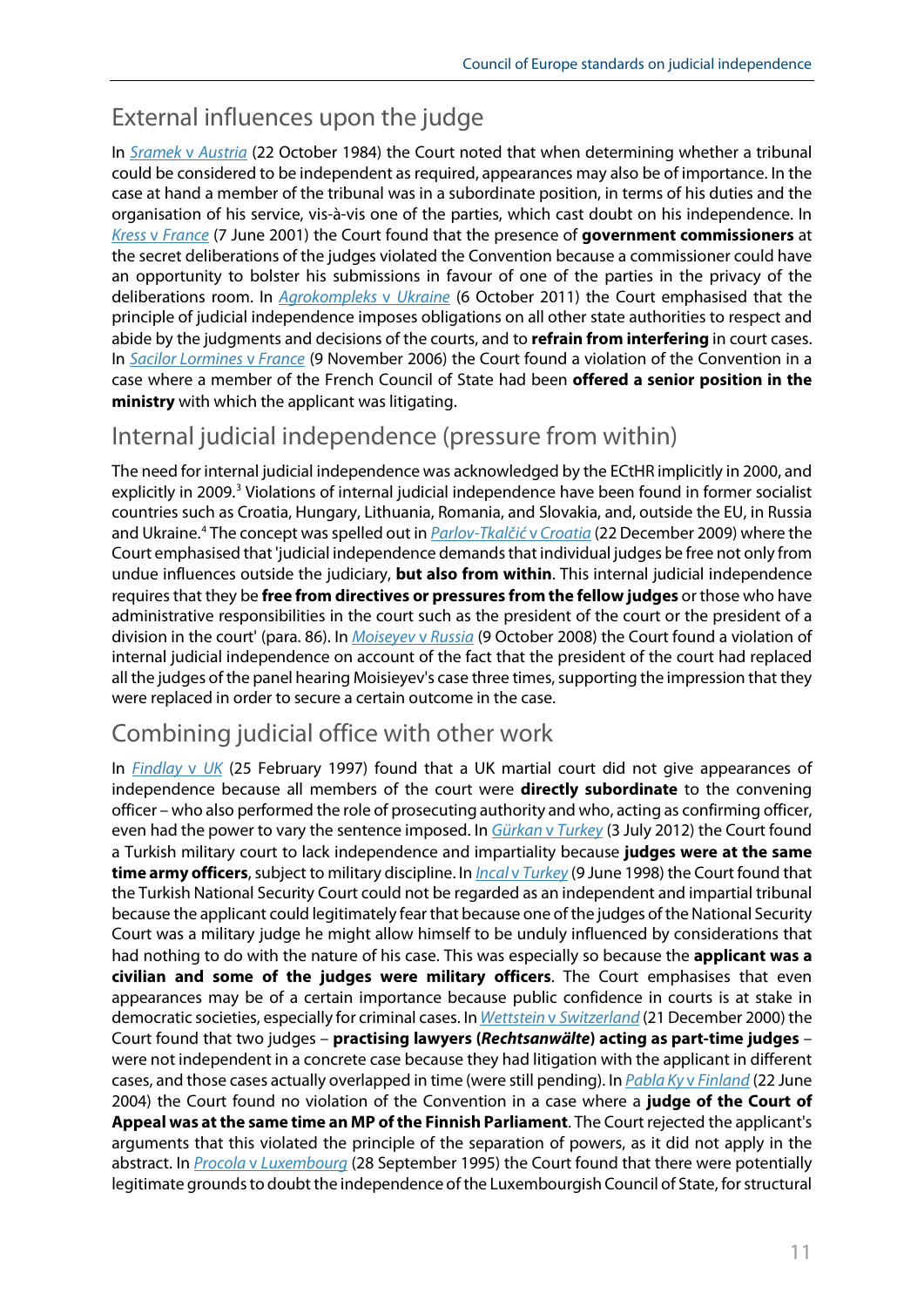## External influences upon the judge

In *[Sramek](http://hudoc.echr.coe.int/eng?i=001-57581)* v *Austria* (22 October 1984) the Court noted that when determining whether a tribunal could be considered to be independent as required, appearances may also be of importance. In the case at hand a member of the tribunal was in a subordinate position, in terms of his duties and the organisation of his service, vis-à-vis one of the parties, which cast doubt on his independence. In *Kress* v *[France](http://hudoc.echr.coe.int/eng?i=001-59511)* (7 June 2001) the Court found that the presence of **government commissioners** at the secret deliberations of the judges violated the Convention because a commissioner could have an opportunity to bolster his submissions in favour of one of the parties in the privacy of the deliberations room. In *[Agrokompleks](http://hudoc.echr.coe.int/eng?i=001-122696)* v *Ukraine* (6 October 2011) the Court emphasised that the principle of judicial independence imposes obligations on all other state authorities to respect and abide by the judgments and decisions of the courts, and to **refrain from interfering** in court cases. In *Sacilor [Lormines](http://hudoc.echr.coe.int/eng?i=001-77947)* v *France* (9 November 2006) the Court found a violation of the Convention in a case where a member of the French Council of State had been **offered a senior position in the ministry** with which the applicant was litigating.

### Internal judicial independence (pressure from within)

The need for internal judicial independence was acknowledged by the ECtHR implicitly in 2000, and explicitly in 2009.<sup>[3](#page-11-2)</sup> Violations of internal judicial independence have been found in former socialist countries such as Croatia, Hungary, Lithuania, Romania, and Slovakia, and, outside the EU, in Russia and Ukraine.[4](#page-11-3) The concept was spelled out in *[Parlov-Tkalčić](http://hudoc.echr.coe.int/eng?i=001-96426)* v *Croatia* (22 December 2009) where the Court emphasised that 'judicial independence demands that individual judges be free not only from undue influences outside the judiciary, **but also from within**. This internal judicial independence requires that they be **free from directives or pressures from the fellow judges** or those who have administrative responsibilities in the court such as the president of the court or the president of a division in the court' (para. 86). In *[Moiseyev](http://hudoc.echr.coe.int/eng?i=001-88780)* v *Russia* (9 October 2008) the Court found a violation of internal judicial independence on account of the fact that the president of the court had replaced all the judges of the panel hearing Moisieyev's case three times, supporting the impression that they were replaced in order to secure a certain outcome in the case.

### Combining judicial office with other work

In *[Findlay](http://hudoc.echr.coe.int/eng?i=001-58016)* v *UK* (25 February 1997) found that a UK martial court did not give appearances of independence because all members of the court were **directly subordinate** to the convening officer – who also performed the role of prosecuting authority and who, acting as confirming officer, even had the power to vary the sentence imposed. In *[Gürkan](http://hudoc.echr.coe.int/eng?i=001-104157)* v *Turkey* (3 July 2012) the Court found a Turkish military court to lack independence and impartiality because **judges were at the same time army officers**, subject to military discipline. In *Incal* v *[Turkey](http://hudoc.echr.coe.int/eng?i=001-58197)* (9 June 1998) the Court found that the Turkish National Security Court could not be regarded as an independent and impartial tribunal because the applicant could legitimately fear that because one of the judges of the National Security Court was a military judge he might allow himself to be unduly influenced by considerations that had nothing to do with the nature of his case. This was especially so because the **applicant was a civilian and some of the judges were military officers**. The Court emphasises that even appearances may be of a certain importance because public confidence in courts is at stake in democratic societies, especially for criminal cases. In *Wettstein* v *[Switzerland](http://hudoc.echr.coe.int/eng?i=001-59102)* (21 December 2000) the Court found that two judges – **practising lawyers (***Rechtsanwälte***) acting as part-time judges** – were not independent in a concrete case because they had litigation with the applicant in different cases, and those cases actually overlapped in time (were still pending). In *[Pabla Ky](http://hudoc.echr.coe.int/eng?i=001-61829)* v *Finland* (22 June 2004) the Court found no violation of the Convention in a case where a **judge of the Court of Appeal was at the same time an MP of the Finnish Parliament**. The Court rejected the applicant's arguments that this violated the principle of the separation of powers, as it did not apply in the abstract. In *Procola* v *[Luxembourg](http://hudoc.echr.coe.int/eng?i=001-57944)* (28 September 1995) the Court found that there were potentially legitimate grounds to doubt the independence of the Luxembourgish Council of State, for structural